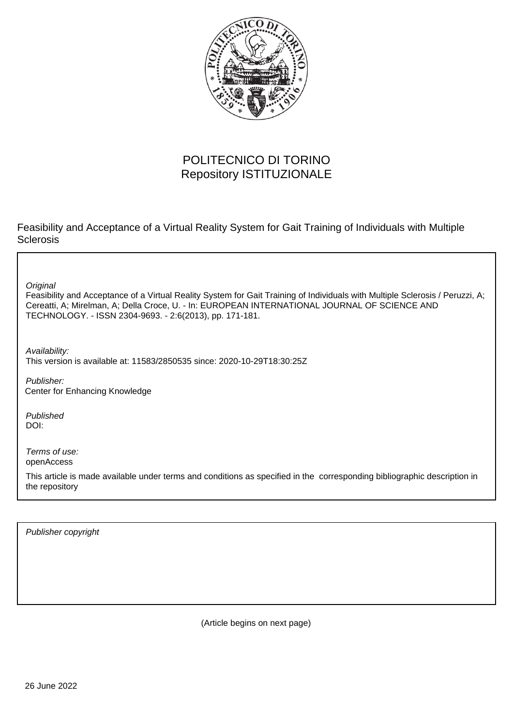

## POLITECNICO DI TORINO Repository ISTITUZIONALE

Feasibility and Acceptance of a Virtual Reality System for Gait Training of Individuals with Multiple Sclerosis

**Original** 

Feasibility and Acceptance of a Virtual Reality System for Gait Training of Individuals with Multiple Sclerosis / Peruzzi, A; Cereatti, A; Mirelman, A; Della Croce, U. - In: EUROPEAN INTERNATIONAL JOURNAL OF SCIENCE AND TECHNOLOGY. - ISSN 2304-9693. - 2:6(2013), pp. 171-181.

Availability: This version is available at: 11583/2850535 since: 2020-10-29T18:30:25Z

Publisher: Center for Enhancing Knowledge

Published DOI:

Terms of use: openAccess

This article is made available under terms and conditions as specified in the corresponding bibliographic description in the repository

Publisher copyright

(Article begins on next page)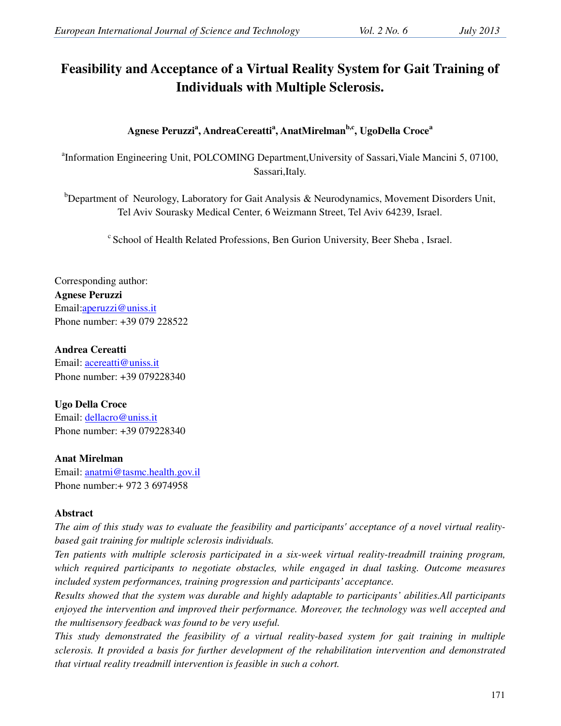# **Feasibility and Acceptance of a Virtual Reality System for Gait Training of Individuals with Multiple Sclerosis.**

**Agnese Peruzzi<sup>a</sup> , AndreaCereatti<sup>a</sup> , AnatMirelmanb,c, UgoDella Croce<sup>a</sup>**

<sup>a</sup>Information Engineering Unit, POLCOMING Department, University of Sassari, Viale Mancini 5, 07100, Sassari,Italy.

 $b$ Department of Neurology, Laboratory for Gait Analysis & Neurodynamics, Movement Disorders Unit, Tel Aviv Sourasky Medical Center, 6 Weizmann Street, Tel Aviv 64239, Israel.

 $\textdegree$  School of Health Related Professions, Ben Gurion University, Beer Sheba, Israel.

Corresponding author: **Agnese Peruzzi** Email:aperuzzi@uniss.it Phone number: +39 079 228522

## **Andrea Cereatti**

Email: acereatti@uniss.it Phone number: +39 079228340

**Ugo Della Croce** 

Email: dellacro@uniss.it Phone number: +39 079228340

## **Anat Mirelman**

Email: anatmi@tasmc.health.gov.il Phone number:+ 972 3 6974958

## **Abstract**

*The aim of this study was to evaluate the feasibility and participants' acceptance of a novel virtual realitybased gait training for multiple sclerosis individuals.* 

*Ten patients with multiple sclerosis participated in a six-week virtual reality-treadmill training program, which required participants to negotiate obstacles, while engaged in dual tasking. Outcome measures included system performances, training progression and participants' acceptance.* 

*Results showed that the system was durable and highly adaptable to participants' abilities.All participants enjoyed the intervention and improved their performance. Moreover, the technology was well accepted and the multisensory feedback was found to be very useful.* 

*This study demonstrated the feasibility of a virtual reality-based system for gait training in multiple sclerosis. It provided a basis for further development of the rehabilitation intervention and demonstrated that virtual reality treadmill intervention is feasible in such a cohort.*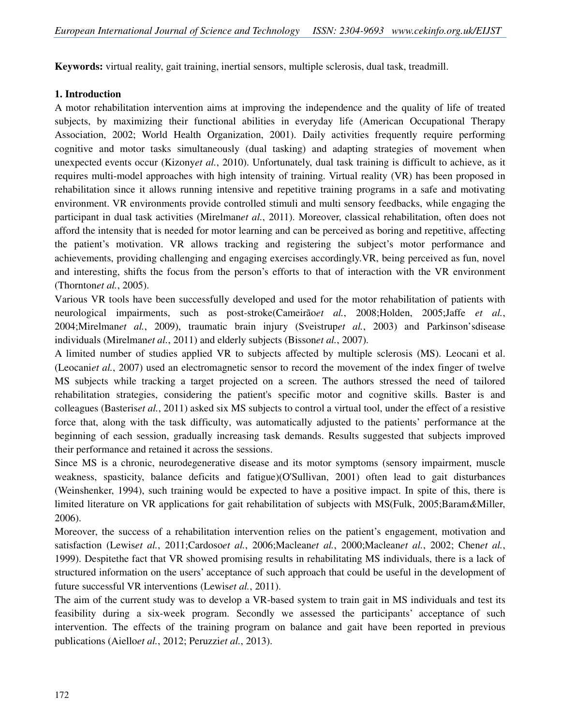**Keywords:** virtual reality, gait training, inertial sensors, multiple sclerosis, dual task, treadmill.

#### **1. Introduction**

A motor rehabilitation intervention aims at improving the independence and the quality of life of treated subjects, by maximizing their functional abilities in everyday life (American Occupational Therapy Association, 2002; World Health Organization, 2001). Daily activities frequently require performing cognitive and motor tasks simultaneously (dual tasking) and adapting strategies of movement when unexpected events occur (Kizony*et al.*, 2010). Unfortunately, dual task training is difficult to achieve, as it requires multi-model approaches with high intensity of training. Virtual reality (VR) has been proposed in rehabilitation since it allows running intensive and repetitive training programs in a safe and motivating environment. VR environments provide controlled stimuli and multi sensory feedbacks, while engaging the participant in dual task activities (Mirelman*et al.*, 2011). Moreover, classical rehabilitation, often does not afford the intensity that is needed for motor learning and can be perceived as boring and repetitive, affecting the patient's motivation. VR allows tracking and registering the subject's motor performance and achievements, providing challenging and engaging exercises accordingly.VR, being perceived as fun, novel and interesting, shifts the focus from the person's efforts to that of interaction with the VR environment (Thornton*et al.*, 2005).

Various VR tools have been successfully developed and used for the motor rehabilitation of patients with neurological impairments, such as post-stroke(Cameirão*et al.*, 2008;Holden, 2005;Jaffe *et al.*, 2004;Mirelman*et al.*, 2009), traumatic brain injury (Sveistrup*et al.*, 2003) and Parkinson'sdisease individuals (Mirelman*et al.*, 2011) and elderly subjects (Bisson*et al.*, 2007).

A limited number of studies applied VR to subjects affected by multiple sclerosis (MS). Leocani et al. (Leocani*et al.*, 2007) used an electromagnetic sensor to record the movement of the index finger of twelve MS subjects while tracking a target projected on a screen. The authors stressed the need of tailored rehabilitation strategies, considering the patient's specific motor and cognitive skills. Baster is and colleagues (Basteris*et al.*, 2011) asked six MS subjects to control a virtual tool, under the effect of a resistive force that, along with the task difficulty, was automatically adjusted to the patients' performance at the beginning of each session, gradually increasing task demands. Results suggested that subjects improved their performance and retained it across the sessions.

Since MS is a chronic, neurodegenerative disease and its motor symptoms (sensory impairment, muscle weakness, spasticity, balance deficits and fatigue)(O'Sullivan, 2001) often lead to gait disturbances (Weinshenker, 1994), such training would be expected to have a positive impact. In spite of this, there is limited literature on VR applications for gait rehabilitation of subjects with MS(Fulk, 2005;Baram*&*Miller, 2006).

Moreover, the success of a rehabilitation intervention relies on the patient's engagement, motivation and satisfaction (Lewis*et al.*, 2011;Cardoso*et al.*, 2006;Maclean*et al.*, 2000;Maclean*et al.*, 2002; Chen*et al.*, 1999). Despitethe fact that VR showed promising results in rehabilitating MS individuals, there is a lack of structured information on the users' acceptance of such approach that could be useful in the development of future successful VR interventions (Lewis*et al.*, 2011).

The aim of the current study was to develop a VR-based system to train gait in MS individuals and test its feasibility during a six-week program. Secondly we assessed the participants' acceptance of such intervention. The effects of the training program on balance and gait have been reported in previous publications (Aiello*et al.*, 2012; Peruzzi*et al.*, 2013).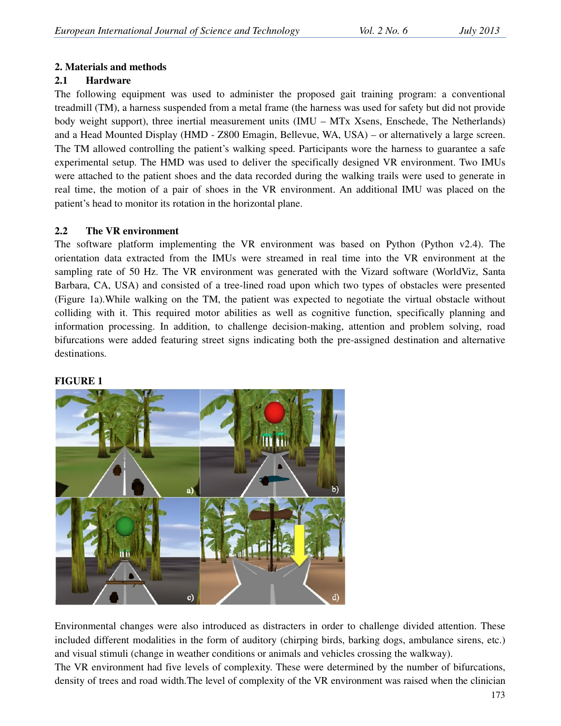## **2. Materials and methods**

## **2.1 Hardware**

The following equipment was used to administer the proposed gait training program: a conventional treadmill (TM), a harness suspended from a metal frame (the harness was used for safety but did not provide body weight support), three inertial measurement units (IMU – MTx Xsens, Enschede, The Netherlands) and a Head Mounted Display (HMD - Z800 Emagin, Bellevue, WA, USA) – or alternatively a large screen. The TM allowed controlling the patient's walking speed. Participants wore the harness to guarantee a safe experimental setup. The HMD was used to deliver the specifically designed VR environment. Two IMUs were attached to the patient shoes and the data recorded during the walking trails were used to generate in real time, the motion of a pair of shoes in the VR environment. An additional IMU was placed on the patient's head to monitor its rotation in the horizontal plane.

## **2.2 The VR environment**

The software platform implementing the VR environment was based on Python (Python v2.4). The orientation data extracted from the IMUs were streamed in real time into the VR environment at the sampling rate of 50 Hz. The VR environment was generated with the Vizard software (WorldViz, Santa Barbara, CA, USA) and consisted of a tree-lined road upon which two types of obstacles were presented (Figure 1a).While walking on the TM, the patient was expected to negotiate the virtual obstacle without colliding with it. This required motor abilities as well as cognitive function, specifically planning and information processing. In addition, to challenge decision-making, attention and problem solving, road bifurcations were added featuring street signs indicating both the pre-assigned destination and alternative destinations.

#### **FIGURE 1**



Environmental changes were also introduced as distracters in order to challenge divided attention. These included different modalities in the form of auditory (chirping birds, barking dogs, ambulance sirens, etc.) and visual stimuli (change in weather conditions or animals and vehicles crossing the walkway). The VR environment had five levels of complexity. These were determined by the number of bifurcations,

density of trees and road width.The level of complexity of the VR environment was raised when the clinician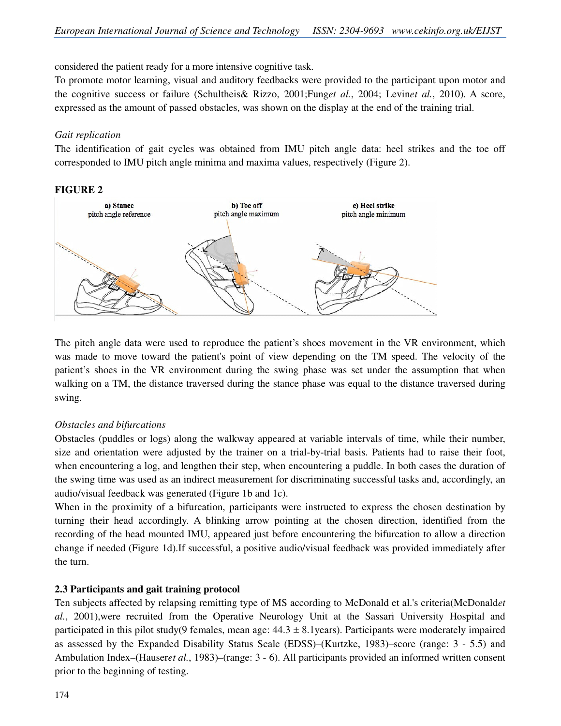considered the patient ready for a more intensive cognitive task.

To promote motor learning, visual and auditory feedbacks were provided to the participant upon motor and the cognitive success or failure (Schultheis& Rizzo, 2001;Fung*et al.*, 2004; Levin*et al.*, 2010). A score, expressed as the amount of passed obstacles, was shown on the display at the end of the training trial.

## *Gait replication*

The identification of gait cycles was obtained from IMU pitch angle data: heel strikes and the toe off corresponded to IMU pitch angle minima and maxima values, respectively (Figure 2).

## **FIGURE 2**



The pitch angle data were used to reproduce the patient's shoes movement in the VR environment, which was made to move toward the patient's point of view depending on the TM speed. The velocity of the patient's shoes in the VR environment during the swing phase was set under the assumption that when walking on a TM, the distance traversed during the stance phase was equal to the distance traversed during swing.

## *Obstacles and bifurcations*

Obstacles (puddles or logs) along the walkway appeared at variable intervals of time, while their number, size and orientation were adjusted by the trainer on a trial-by-trial basis. Patients had to raise their foot, when encountering a log, and lengthen their step, when encountering a puddle. In both cases the duration of the swing time was used as an indirect measurement for discriminating successful tasks and, accordingly, an audio/visual feedback was generated (Figure 1b and 1c).

When in the proximity of a bifurcation, participants were instructed to express the chosen destination by turning their head accordingly. A blinking arrow pointing at the chosen direction, identified from the recording of the head mounted IMU, appeared just before encountering the bifurcation to allow a direction change if needed (Figure 1d).If successful, a positive audio/visual feedback was provided immediately after the turn.

## **2.3 Participants and gait training protocol**

Ten subjects affected by relapsing remitting type of MS according to McDonald et al.'s criteria(McDonald*et al.*, 2001),were recruited from the Operative Neurology Unit at the Sassari University Hospital and participated in this pilot study(9 females, mean age:  $44.3 \pm 8.1$ years). Participants were moderately impaired as assessed by the Expanded Disability Status Scale (EDSS)–(Kurtzke, 1983)–score (range: 3 - 5.5) and Ambulation Index–(Hauser*et al.*, 1983)–(range: 3 - 6). All participants provided an informed written consent prior to the beginning of testing.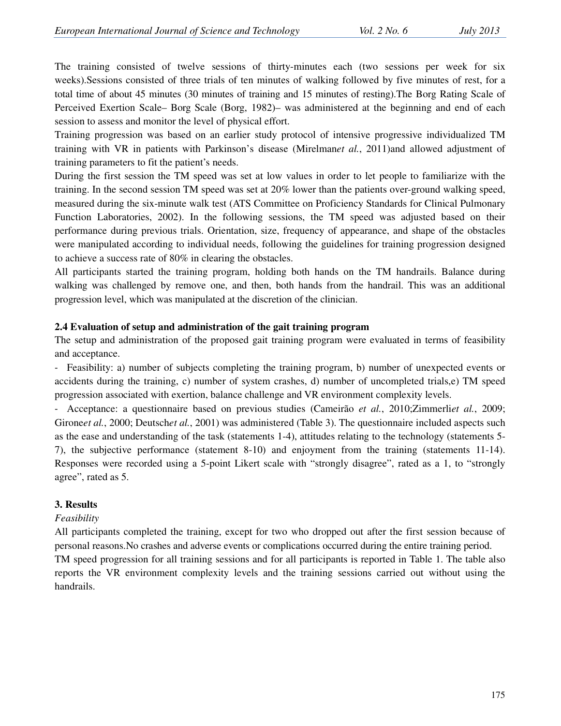The training consisted of twelve sessions of thirty-minutes each (two sessions per week for six weeks).Sessions consisted of three trials of ten minutes of walking followed by five minutes of rest, for a total time of about 45 minutes (30 minutes of training and 15 minutes of resting).The Borg Rating Scale of Perceived Exertion Scale– Borg Scale (Borg, 1982)– was administered at the beginning and end of each session to assess and monitor the level of physical effort.

Training progression was based on an earlier study protocol of intensive progressive individualized TM training with VR in patients with Parkinson's disease (Mirelman*et al.*, 2011)and allowed adjustment of training parameters to fit the patient's needs.

During the first session the TM speed was set at low values in order to let people to familiarize with the training. In the second session TM speed was set at 20% lower than the patients over-ground walking speed, measured during the six-minute walk test (ATS Committee on Proficiency Standards for Clinical Pulmonary Function Laboratories, 2002). In the following sessions, the TM speed was adjusted based on their performance during previous trials. Orientation, size, frequency of appearance, and shape of the obstacles were manipulated according to individual needs, following the guidelines for training progression designed to achieve a success rate of 80% in clearing the obstacles.

All participants started the training program, holding both hands on the TM handrails. Balance during walking was challenged by remove one, and then, both hands from the handrail. This was an additional progression level, which was manipulated at the discretion of the clinician.

## **2.4 Evaluation of setup and administration of the gait training program**

The setup and administration of the proposed gait training program were evaluated in terms of feasibility and acceptance.

- Feasibility: a) number of subjects completing the training program, b) number of unexpected events or accidents during the training, c) number of system crashes, d) number of uncompleted trials,e) TM speed progression associated with exertion, balance challenge and VR environment complexity levels.

- Acceptance: a questionnaire based on previous studies (Cameirão *et al.*, 2010;Zimmerli*et al.*, 2009; Girone*et al.*, 2000; Deutsch*et al.*, 2001) was administered (Table 3). The questionnaire included aspects such as the ease and understanding of the task (statements 1-4), attitudes relating to the technology (statements 5- 7), the subjective performance (statement 8-10) and enjoyment from the training (statements 11-14). Responses were recorded using a 5-point Likert scale with "strongly disagree", rated as a 1, to "strongly agree", rated as 5.

## **3. Results**

## *Feasibility*

All participants completed the training, except for two who dropped out after the first session because of personal reasons.No crashes and adverse events or complications occurred during the entire training period.

TM speed progression for all training sessions and for all participants is reported in Table 1. The table also reports the VR environment complexity levels and the training sessions carried out without using the handrails.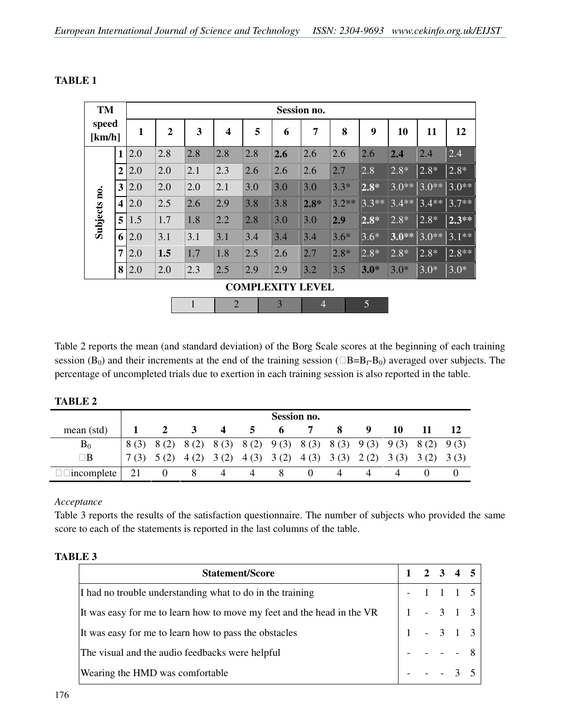| TM<br>speed<br>[km/h]   |                         | <b>Session no.</b> |                |              |                         |     |     |                |         |                |         |         |         |
|-------------------------|-------------------------|--------------------|----------------|--------------|-------------------------|-----|-----|----------------|---------|----------------|---------|---------|---------|
|                         |                         | $\mathbf{1}$       | $\overline{2}$ | 3            | $\overline{\mathbf{4}}$ | 5   | 6   | 7              | 8       | 9              | 10      | 11      | 12      |
| Subjects no.            | 1                       | 2.0                | 2.8            | 2.8          | 2.8                     | 2.8 | 2.6 | 2.6            | 2.6     | 2.6            | 2.4     | 2.4     | 2.4     |
|                         | $\overline{2}$          | 2.0                | 2.0            | 2.1          | 2.3                     | 2.6 | 2.6 | 2.6            | 2.7     | 2.8            | $2.8*$  | $2.8*$  | $2.8*$  |
|                         | $\mathbf{3}$            | 2.0                | 2.0            | 2.0          | 2.1                     | 3.0 | 3.0 | 3.0            | $3.3*$  | $2.8*$         | $3.0**$ | $3.0**$ | $3.0**$ |
|                         | $\overline{\mathbf{4}}$ | 2.0                | 2.5            | 2.6          | 2.9                     | 3.8 | 3.8 | $2.8*$         | $3.2**$ | $3.3**$        | $3.4**$ | $3.4**$ | $3.7**$ |
|                         | 5 <sup>1</sup>          | 1.5                | 1.7            | 1.8          | 2.2                     | 2.8 | 3.0 | 3.0            | 2.9     | $2.8*$         | $2.8*$  | $2.8*$  | $2.3**$ |
|                         | 6 <sup>1</sup>          | 2.0                | 3.1            | 3.1          | 3.1                     | 3.4 | 3.4 | 3.4            | $3.6*$  | $3.6*$         | $3.0**$ | $3.0**$ | $3.1**$ |
|                         | $\overline{7}$          | 2.0                | 1.5            | 1.7          | 1.8                     | 2.5 | 2.6 | 2.7            | $2.8*$  | $2.8*$         | $2.8*$  | $2.8*$  | $2.8**$ |
|                         | 8                       | 2.0                | 2.0            | 2.3          | 2.5                     | 2.9 | 2.9 | 3.2            | 3.5     | $3.0*$         | $3.0*$  | $3.0*$  | $3.0*$  |
| <b>COMPLEXITY LEVEL</b> |                         |                    |                |              |                         |     |     |                |         |                |         |         |         |
|                         |                         |                    |                | $\mathbf{1}$ | $\overline{2}$          |     | 3   | $\overline{4}$ |         | $\overline{5}$ |         |         |         |

## **TABLE 1**

Table 2 reports the mean (and standard deviation) of the Borg Scale scores at the beginning of each training session  $(B_0)$  and their increments at the end of the training session ( $B=B_f-B_0$ ) averaged over subjects. The percentage of uncompleted trials due to exertion in each training session is also reported in the table.

| ---------  |             |          |   |                  |              |                                                                         |  |  |   |    |  |    |
|------------|-------------|----------|---|------------------|--------------|-------------------------------------------------------------------------|--|--|---|----|--|----|
|            | Session no. |          |   |                  |              |                                                                         |  |  |   |    |  |    |
| mean (std) |             |          | 3 | $\boldsymbol{4}$ | $\mathbf{z}$ | 6                                                                       |  |  | 9 | 10 |  | 12 |
| $B_0$      |             |          |   |                  |              | 8 (3) 8 (2) 8 (2) 8 (3) 8 (2) 9 (3) 8 (3) 8 (3) 9 (3) 9 (3) 8 (2) 9 (3) |  |  |   |    |  |    |
| B          | 7(3)        | 5(2)     |   |                  |              | $4(2)$ 3(2) $4(3)$ 3(2) $4(3)$ 3(3) 3(3) 2(2) 3(3) 3(2) 3(3)            |  |  |   |    |  |    |
| incomplete | 21          | $\Omega$ | 8 | 4                | 4            |                                                                         |  |  |   |    |  |    |

## **TABLE 2**

#### *Acceptance*

Table 3 reports the results of the satisfaction questionnaire. The number of subjects who provided the same score to each of the statements is reported in the last columns of the table.

## **TABLE 3**

| <b>Statement/Score</b>                                                 |             | $1 \t2 \t3 \t4 \t5$ |          |             |  |
|------------------------------------------------------------------------|-------------|---------------------|----------|-------------|--|
| I had no trouble understanding what to do in the training              |             |                     |          | $-1$ 1 1 5  |  |
| It was easy for me to learn how to move my feet and the head in the VR |             |                     |          | $1 - 3 1 3$ |  |
| It was easy for me to learn how to pass the obstacles                  | $1 - 3 1 3$ |                     |          |             |  |
| The visual and the audio feedbacks were helpful                        |             |                     | $   -$ 8 |             |  |
| Wearing the HMD was comfortable                                        |             | $- - - 3 5$         |          |             |  |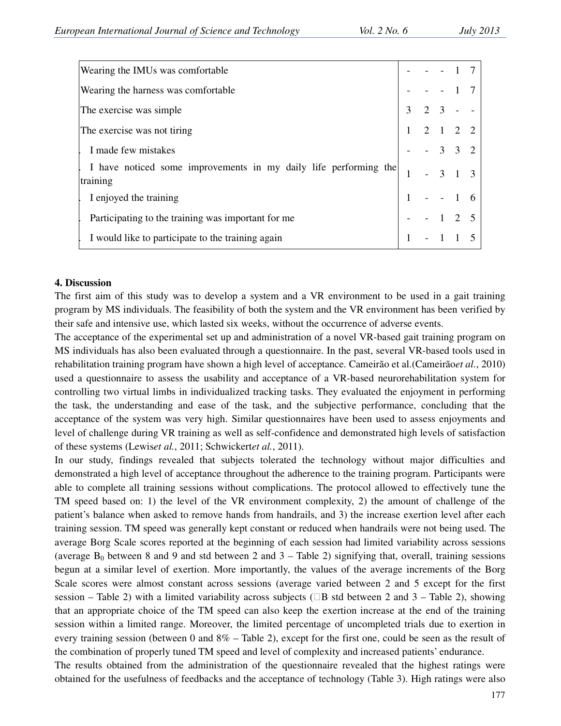| Wearing the IMUs was comfortable                                             |   |                                                        |          |          |  |
|------------------------------------------------------------------------------|---|--------------------------------------------------------|----------|----------|--|
| Wearing the harness was comfortable.                                         |   |                                                        |          |          |  |
| The exercise was simple                                                      | 3 | $2 \t3 - -$                                            |          |          |  |
| The exercise was not tiring                                                  |   | $\begin{array}{ccccccccc}\n2 & 1 & 2 & 2\n\end{array}$ |          |          |  |
| I made few mistakes                                                          |   | $-332$                                                 |          |          |  |
| I have noticed some improvements in my daily life performing the<br>training |   |                                                        | $-3$ 1 3 |          |  |
| I enjoyed the training                                                       |   |                                                        |          |          |  |
| Participating to the training was important for me                           |   |                                                        |          | $-1$ 2 5 |  |
| I would like to participate to the training again                            |   |                                                        |          |          |  |

#### **4. Discussion**

The first aim of this study was to develop a system and a VR environment to be used in a gait training program by MS individuals. The feasibility of both the system and the VR environment has been verified by their safe and intensive use, which lasted six weeks, without the occurrence of adverse events.

The acceptance of the experimental set up and administration of a novel VR-based gait training program on MS individuals has also been evaluated through a questionnaire. In the past, several VR-based tools used in rehabilitation training program have shown a high level of acceptance. Cameirão et al.(Cameirão*et al.*, 2010) used a questionnaire to assess the usability and acceptance of a VR-based neurorehabilitation system for controlling two virtual limbs in individualized tracking tasks. They evaluated the enjoyment in performing the task, the understanding and ease of the task, and the subjective performance, concluding that the acceptance of the system was very high. Similar questionnaires have been used to assess enjoyments and level of challenge during VR training as well as self-confidence and demonstrated high levels of satisfaction of these systems (Lewis*et al.*, 2011; Schwickert*et al.*, 2011).

In our study, findings revealed that subjects tolerated the technology without major difficulties and demonstrated a high level of acceptance throughout the adherence to the training program. Participants were able to complete all training sessions without complications. The protocol allowed to effectively tune the TM speed based on: 1) the level of the VR environment complexity, 2) the amount of challenge of the patient's balance when asked to remove hands from handrails, and 3) the increase exertion level after each training session. TM speed was generally kept constant or reduced when handrails were not being used. The average Borg Scale scores reported at the beginning of each session had limited variability across sessions (average  $B_0$  between 8 and 9 and std between 2 and 3 – Table 2) signifying that, overall, training sessions begun at a similar level of exertion. More importantly, the values of the average increments of the Borg Scale scores were almost constant across sessions (average varied between 2 and 5 except for the first session – Table 2) with a limited variability across subjects (B std between 2 and  $3$  – Table 2), showing that an appropriate choice of the TM speed can also keep the exertion increase at the end of the training session within a limited range. Moreover, the limited percentage of uncompleted trials due to exertion in every training session (between 0 and 8% – Table 2), except for the first one, could be seen as the result of the combination of properly tuned TM speed and level of complexity and increased patients' endurance.

The results obtained from the administration of the questionnaire revealed that the highest ratings were obtained for the usefulness of feedbacks and the acceptance of technology (Table 3). High ratings were also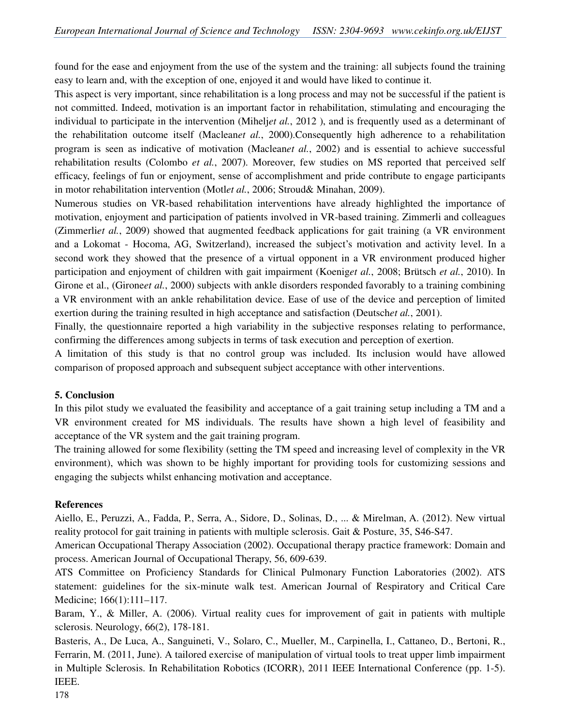found for the ease and enjoyment from the use of the system and the training: all subjects found the training easy to learn and, with the exception of one, enjoyed it and would have liked to continue it.

This aspect is very important, since rehabilitation is a long process and may not be successful if the patient is not committed. Indeed, motivation is an important factor in rehabilitation, stimulating and encouraging the individual to participate in the intervention (Mihelj*et al.*, 2012 ), and is frequently used as a determinant of the rehabilitation outcome itself (Maclean*et al.*, 2000).Consequently high adherence to a rehabilitation program is seen as indicative of motivation (Maclean*et al.*, 2002) and is essential to achieve successful rehabilitation results (Colombo *et al.*, 2007). Moreover, few studies on MS reported that perceived self efficacy, feelings of fun or enjoyment, sense of accomplishment and pride contribute to engage participants in motor rehabilitation intervention (Motl*et al.*, 2006; Stroud& Minahan, 2009).

Numerous studies on VR-based rehabilitation interventions have already highlighted the importance of motivation, enjoyment and participation of patients involved in VR-based training. Zimmerli and colleagues (Zimmerli*et al.*, 2009) showed that augmented feedback applications for gait training (a VR environment and a Lokomat - Hocoma, AG, Switzerland), increased the subject's motivation and activity level. In a second work they showed that the presence of a virtual opponent in a VR environment produced higher participation and enjoyment of children with gait impairment (Koenig*et al.*, 2008; Brütsch *et al.*, 2010). In Girone et al., (Girone*et al.*, 2000) subjects with ankle disorders responded favorably to a training combining a VR environment with an ankle rehabilitation device. Ease of use of the device and perception of limited exertion during the training resulted in high acceptance and satisfaction (Deutsch*et al.*, 2001).

Finally, the questionnaire reported a high variability in the subjective responses relating to performance, confirming the differences among subjects in terms of task execution and perception of exertion.

A limitation of this study is that no control group was included. Its inclusion would have allowed comparison of proposed approach and subsequent subject acceptance with other interventions.

## **5. Conclusion**

In this pilot study we evaluated the feasibility and acceptance of a gait training setup including a TM and a VR environment created for MS individuals. The results have shown a high level of feasibility and acceptance of the VR system and the gait training program.

The training allowed for some flexibility (setting the TM speed and increasing level of complexity in the VR environment), which was shown to be highly important for providing tools for customizing sessions and engaging the subjects whilst enhancing motivation and acceptance.

## **References**

Aiello, E., Peruzzi, A., Fadda, P., Serra, A., Sidore, D., Solinas, D., ... & Mirelman, A. (2012). New virtual reality protocol for gait training in patients with multiple sclerosis. Gait & Posture, 35, S46-S47.

American Occupational Therapy Association (2002). Occupational therapy practice framework: Domain and process. American Journal of Occupational Therapy, 56, 609-639.

ATS Committee on Proficiency Standards for Clinical Pulmonary Function Laboratories (2002). ATS statement: guidelines for the six-minute walk test. American Journal of Respiratory and Critical Care Medicine; 166(1):111–117.

Baram, Y., & Miller, A. (2006). Virtual reality cues for improvement of gait in patients with multiple sclerosis. Neurology, 66(2), 178-181.

Basteris, A., De Luca, A., Sanguineti, V., Solaro, C., Mueller, M., Carpinella, I., Cattaneo, D., Bertoni, R., Ferrarin, M. (2011, June). A tailored exercise of manipulation of virtual tools to treat upper limb impairment in Multiple Sclerosis. In Rehabilitation Robotics (ICORR), 2011 IEEE International Conference (pp. 1-5). IEEE.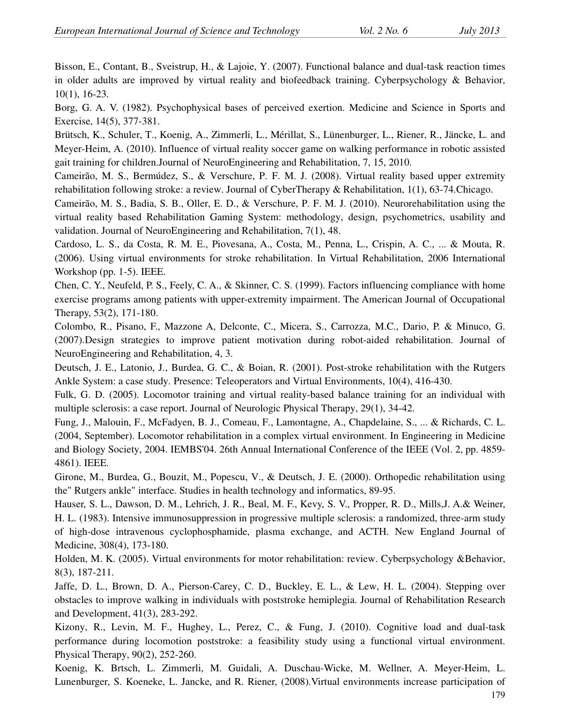Bisson, E., Contant, B., Sveistrup, H., & Lajoie, Y. (2007). Functional balance and dual-task reaction times in older adults are improved by virtual reality and biofeedback training. Cyberpsychology & Behavior, 10(1), 16-23.

Borg, G. A. V. (1982). Psychophysical bases of perceived exertion. Medicine and Science in Sports and Exercise, 14(5), 377-381.

Brütsch, K., Schuler, T., Koenig, A., Zimmerli, L., Mérillat, S., Lünenburger, L., Riener, R., Jäncke, L. and Meyer-Heim, A. (2010). Influence of virtual reality soccer game on walking performance in robotic assisted gait training for children.Journal of NeuroEngineering and Rehabilitation, 7, 15, 2010.

Cameirão, M. S., Bermúdez, S., & Verschure, P. F. M. J. (2008). Virtual reality based upper extremity rehabilitation following stroke: a review. Journal of CyberTherapy & Rehabilitation, 1(1), 63-74.Chicago.

Cameirão, M. S., Badia, S. B., Oller, E. D., & Verschure, P. F. M. J. (2010). Neurorehabilitation using the virtual reality based Rehabilitation Gaming System: methodology, design, psychometrics, usability and validation. Journal of NeuroEngineering and Rehabilitation, 7(1), 48.

Cardoso, L. S., da Costa, R. M. E., Piovesana, A., Costa, M., Penna, L., Crispin, A. C., ... & Mouta, R. (2006). Using virtual environments for stroke rehabilitation. In Virtual Rehabilitation, 2006 International Workshop (pp. 1-5). IEEE.

Chen, C. Y., Neufeld, P. S., Feely, C. A., & Skinner, C. S. (1999). Factors influencing compliance with home exercise programs among patients with upper-extremity impairment. The American Journal of Occupational Therapy, 53(2), 171-180.

Colombo, R., Pisano, F., Mazzone A, Delconte, C., Micera, S., Carrozza, M.C., Dario, P. & Minuco, G. (2007).Design strategies to improve patient motivation during robot-aided rehabilitation. Journal of NeuroEngineering and Rehabilitation, 4, 3.

Deutsch, J. E., Latonio, J., Burdea, G. C., & Boian, R. (2001). Post-stroke rehabilitation with the Rutgers Ankle System: a case study. Presence: Teleoperators and Virtual Environments, 10(4), 416-430.

Fulk, G. D. (2005). Locomotor training and virtual reality-based balance training for an individual with multiple sclerosis: a case report. Journal of Neurologic Physical Therapy, 29(1), 34-42.

Fung, J., Malouin, F., McFadyen, B. J., Comeau, F., Lamontagne, A., Chapdelaine, S., ... & Richards, C. L. (2004, September). Locomotor rehabilitation in a complex virtual environment. In Engineering in Medicine and Biology Society, 2004. IEMBS'04. 26th Annual International Conference of the IEEE (Vol. 2, pp. 4859- 4861). IEEE.

Girone, M., Burdea, G., Bouzit, M., Popescu, V., & Deutsch, J. E. (2000). Orthopedic rehabilitation using the" Rutgers ankle" interface. Studies in health technology and informatics, 89-95.

Hauser, S. L., Dawson, D. M., Lehrich, J. R., Beal, M. F., Kevy, S. V., Propper, R. D., Mills,J. A.& Weiner, H. L. (1983). Intensive immunosuppression in progressive multiple sclerosis: a randomized, three-arm study of high-dose intravenous cyclophosphamide, plasma exchange, and ACTH. New England Journal of Medicine, 308(4), 173-180.

Holden, M. K. (2005). Virtual environments for motor rehabilitation: review. Cyberpsychology &Behavior, 8(3), 187-211.

Jaffe, D. L., Brown, D. A., Pierson-Carey, C. D., Buckley, E. L., & Lew, H. L. (2004). Stepping over obstacles to improve walking in individuals with poststroke hemiplegia. Journal of Rehabilitation Research and Development, 41(3), 283-292.

Kizony, R., Levin, M. F., Hughey, L., Perez, C., & Fung, J. (2010). Cognitive load and dual-task performance during locomotion poststroke: a feasibility study using a functional virtual environment. Physical Therapy, 90(2), 252-260.

Koenig, K. Brtsch, L. Zimmerli, M. Guidali, A. Duschau-Wicke, M. Wellner, A. Meyer-Heim, L. Lunenburger, S. Koeneke, L. Jancke, and R. Riener, (2008).Virtual environments increase participation of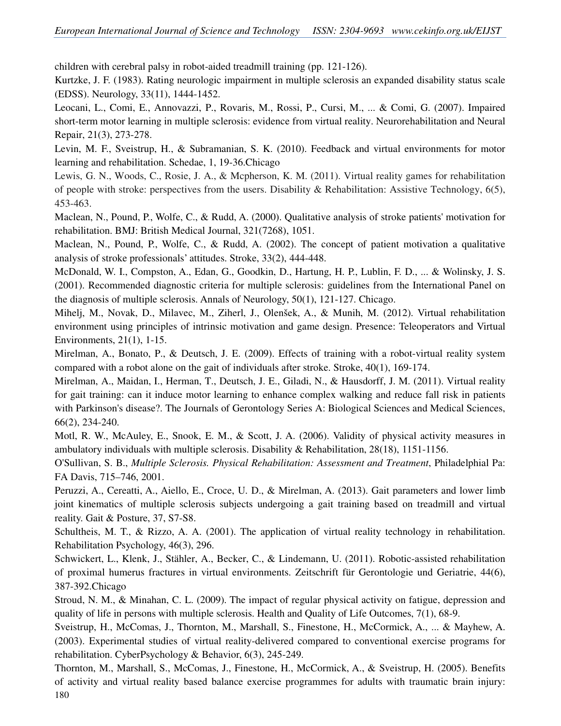children with cerebral palsy in robot-aided treadmill training (pp. 121-126).

Kurtzke, J. F. (1983). Rating neurologic impairment in multiple sclerosis an expanded disability status scale (EDSS). Neurology, 33(11), 1444-1452.

Leocani, L., Comi, E., Annovazzi, P., Rovaris, M., Rossi, P., Cursi, M., ... & Comi, G. (2007). Impaired short-term motor learning in multiple sclerosis: evidence from virtual reality. Neurorehabilitation and Neural Repair, 21(3), 273-278.

Levin, M. F., Sveistrup, H., & Subramanian, S. K. (2010). Feedback and virtual environments for motor learning and rehabilitation. Schedae, 1, 19-36.Chicago

Lewis, G. N., Woods, C., Rosie, J. A., & Mcpherson, K. M. (2011). Virtual reality games for rehabilitation of people with stroke: perspectives from the users. Disability & Rehabilitation: Assistive Technology, 6(5), 453-463.

Maclean, N., Pound, P., Wolfe, C., & Rudd, A. (2000). Qualitative analysis of stroke patients' motivation for rehabilitation. BMJ: British Medical Journal, 321(7268), 1051.

Maclean, N., Pound, P., Wolfe, C., & Rudd, A. (2002). The concept of patient motivation a qualitative analysis of stroke professionals' attitudes. Stroke, 33(2), 444-448.

McDonald, W. I., Compston, A., Edan, G., Goodkin, D., Hartung, H. P., Lublin, F. D., ... & Wolinsky, J. S. (2001). Recommended diagnostic criteria for multiple sclerosis: guidelines from the International Panel on the diagnosis of multiple sclerosis. Annals of Neurology, 50(1), 121-127. Chicago.

Mihelj, M., Novak, D., Milavec, M., Ziherl, J., Olenšek, A., & Munih, M. (2012). Virtual rehabilitation environment using principles of intrinsic motivation and game design. Presence: Teleoperators and Virtual Environments, 21(1), 1-15.

Mirelman, A., Bonato, P., & Deutsch, J. E. (2009). Effects of training with a robot-virtual reality system compared with a robot alone on the gait of individuals after stroke. Stroke, 40(1), 169-174.

Mirelman, A., Maidan, I., Herman, T., Deutsch, J. E., Giladi, N., & Hausdorff, J. M. (2011). Virtual reality for gait training: can it induce motor learning to enhance complex walking and reduce fall risk in patients with Parkinson's disease?. The Journals of Gerontology Series A: Biological Sciences and Medical Sciences, 66(2), 234-240.

Motl, R. W., McAuley, E., Snook, E. M., & Scott, J. A. (2006). Validity of physical activity measures in ambulatory individuals with multiple sclerosis. Disability & Rehabilitation, 28(18), 1151-1156.

O'Sullivan, S. B., *Multiple Sclerosis. Physical Rehabilitation: Assessment and Treatment*, Philadelphial Pa: FA Davis, 715–746, 2001.

Peruzzi, A., Cereatti, A., Aiello, E., Croce, U. D., & Mirelman, A. (2013). Gait parameters and lower limb joint kinematics of multiple sclerosis subjects undergoing a gait training based on treadmill and virtual reality. Gait & Posture, 37, S7-S8.

Schultheis, M. T., & Rizzo, A. A. (2001). The application of virtual reality technology in rehabilitation. Rehabilitation Psychology, 46(3), 296.

Schwickert, L., Klenk, J., Stähler, A., Becker, C., & Lindemann, U. (2011). Robotic-assisted rehabilitation of proximal humerus fractures in virtual environments. Zeitschrift für Gerontologie und Geriatrie, 44(6), 387-392.Chicago

Stroud, N. M., & Minahan, C. L. (2009). The impact of regular physical activity on fatigue, depression and quality of life in persons with multiple sclerosis. Health and Quality of Life Outcomes, 7(1), 68-9.

Sveistrup, H., McComas, J., Thornton, M., Marshall, S., Finestone, H., McCormick, A., ... & Mayhew, A. (2003). Experimental studies of virtual reality-delivered compared to conventional exercise programs for rehabilitation. CyberPsychology & Behavior, 6(3), 245-249.

180 Thornton, M., Marshall, S., McComas, J., Finestone, H., McCormick, A., & Sveistrup, H. (2005). Benefits of activity and virtual reality based balance exercise programmes for adults with traumatic brain injury: